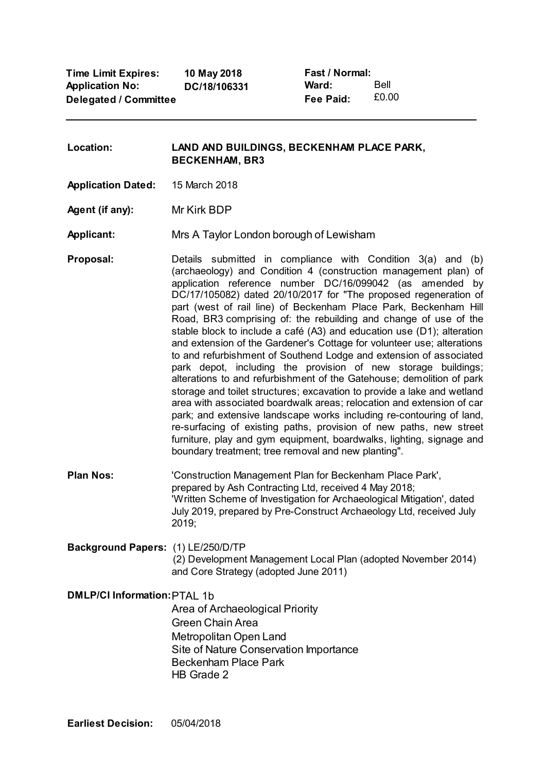**Time Limit Expires: Application No: Delegated / Committee 10 May 2018 DC/18/106331**

**Fast / Normal: Ward: Fee Paid:** Bell £0.00

**Location: LAND AND BUILDINGS, BECKENHAM PLACE PARK, BECKENHAM, BR3**

**Application Dated:** 15 March 2018

**Agent (if any):** Mr Kirk BDP

**Applicant:** Mrs A Taylor London borough of Lewisham

**Proposal:** Details submitted in compliance with Condition 3(a) and (b) (archaeology) and Condition 4 (construction management plan) of application reference number DC/16/099042 (as amended by DC/17/105082) dated 20/10/2017 for "The proposed regeneration of part (west of rail line) of Beckenham Place Park, Beckenham Hill Road, BR3 comprising of: the rebuilding and change of use of the stable block to include a café (A3) and education use (D1); alteration and extension of the Gardener's Cottage for volunteer use; alterations to and refurbishment of Southend Lodge and extension of associated park depot, including the provision of new storage buildings; alterations to and refurbishment of the Gatehouse; demolition of park storage and toilet structures; excavation to provide a lake and wetland area with associated boardwalk areas; relocation and extension of car park; and extensive landscape works including re-contouring of land, re-surfacing of existing paths, provision of new paths, new street furniture, play and gym equipment, boardwalks, lighting, signage and boundary treatment; tree removal and new planting".

- **Plan Nos:** 'Construction Management Plan for Beckenham Place Park', prepared by Ash Contracting Ltd, received 4 May 2018; 'Written Scheme of Investigation for Archaeological Mitigation', dated July 2019, prepared by Pre-Construct Archaeology Ltd, received July 2019;
- **Background Papers:** (1) LE/250/D/TP (2) Development Management Local Plan (adopted November 2014) and Core Strategy (adopted June 2011)

**DMLP/CI Information:**PTAL 1b Area of Archaeological Priority Green Chain Area Metropolitan Open Land Site of Nature Conservation Importance Beckenham Place Park HB Grade 2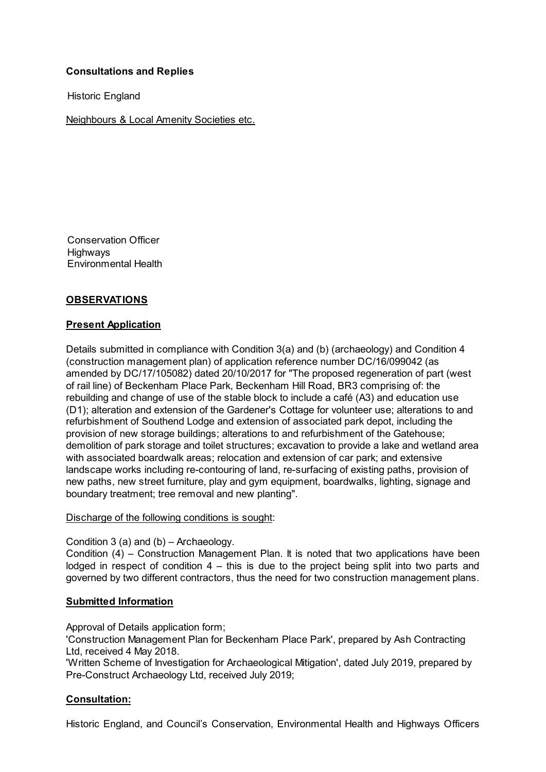# **Consultations and Replies**

Historic England

Neighbours & Local Amenity Societies etc.

Conservation Officer **Highways** Environmental Health

# **OBSERVATIONS**

## **Present Application**

Details submitted in compliance with Condition 3(a) and (b) (archaeology) and Condition 4 (construction management plan) of application reference number DC/16/099042 (as amended by DC/17/105082) dated 20/10/2017 for "The proposed regeneration of part (west of rail line) of Beckenham Place Park, Beckenham Hill Road, BR3 comprising of: the rebuilding and change of use of the stable block to include a café (A3) and education use (D1); alteration and extension of the Gardener's Cottage for volunteer use; alterations to and refurbishment of Southend Lodge and extension of associated park depot, including the provision of new storage buildings; alterations to and refurbishment of the Gatehouse; demolition of park storage and toilet structures; excavation to provide a lake and wetland area with associated boardwalk areas; relocation and extension of car park; and extensive landscape works including re-contouring of land, re-surfacing of existing paths, provision of new paths, new street furniture, play and gym equipment, boardwalks, lighting, signage and boundary treatment; tree removal and new planting".

## Discharge of the following conditions is sought:

## Condition 3 (a) and (b) – Archaeology.

Condition (4) – Construction Management Plan. It is noted that two applications have been lodged in respect of condition  $4 -$  this is due to the project being split into two parts and governed by two different contractors, thus the need for two construction management plans.

## **Submitted Information**

Approval of Details application form;

'Construction Management Plan for Beckenham Place Park', prepared by Ash Contracting Ltd, received 4 May 2018.

'Written Scheme of Investigation for Archaeological Mitigation', dated July 2019, prepared by Pre-Construct Archaeology Ltd, received July 2019;

## **Consultation:**

Historic England, and Council's Conservation, Environmental Health and Highways Officers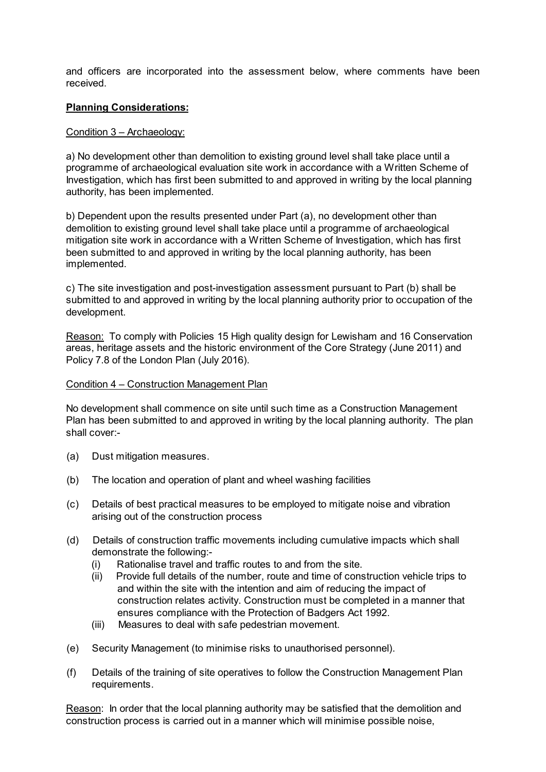and officers are incorporated into the assessment below, where comments have been received.

### **Planning Considerations:**

### Condition 3 – Archaeology:

a) No development other than demolition to existing ground level shall take place until a programme of archaeological evaluation site work in accordance with a Written Scheme of Investigation, which has first been submitted to and approved in writing by the local planning authority, has been implemented.

b) Dependent upon the results presented under Part (a), no development other than demolition to existing ground level shall take place until a programme of archaeological mitigation site work in accordance with a Written Scheme of Investigation, which has first been submitted to and approved in writing by the local planning authority, has been implemented.

c) The site investigation and post-investigation assessment pursuant to Part (b) shall be submitted to and approved in writing by the local planning authority prior to occupation of the development.

Reason: To comply with Policies 15 High quality design for Lewisham and 16 Conservation areas, heritage assets and the historic environment of the Core Strategy (June 2011) and Policy 7.8 of the London Plan (July 2016).

### Condition 4 – Construction Management Plan

No development shall commence on site until such time as a Construction Management Plan has been submitted to and approved in writing by the local planning authority. The plan shall cover:-

- (a) Dust mitigation measures.
- (b) The location and operation of plant and wheel washing facilities
- (c) Details of best practical measures to be employed to mitigate noise and vibration arising out of the construction process
- (d) Details of construction traffic movements including cumulative impacts which shall demonstrate the following:-
	- (i) Rationalise travel and traffic routes to and from the site.
	- (ii) Provide full details of the number, route and time of construction vehicle trips to and within the site with the intention and aim of reducing the impact of construction relates activity. Construction must be completed in a manner that ensures compliance with the Protection of Badgers Act 1992.
	- (iii) Measures to deal with safe pedestrian movement.
- (e) Security Management (to minimise risks to unauthorised personnel).
- (f) Details of the training of site operatives to follow the Construction Management Plan requirements.

Reason: In order that the local planning authority may be satisfied that the demolition and construction process is carried out in a manner which will minimise possible noise,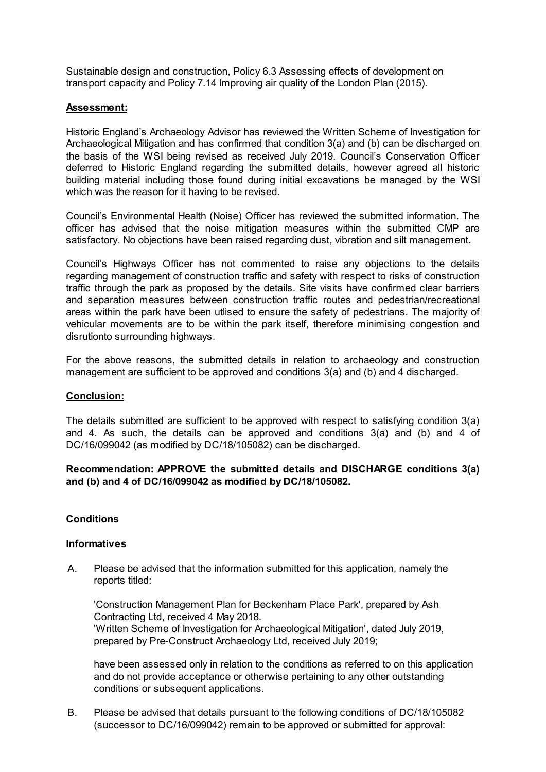Sustainable design and construction, Policy 6.3 Assessing effects of development on transport capacity and Policy 7.14 Improving air quality of the London Plan (2015).

## **Assessment:**

Historic England's Archaeology Advisor has reviewed the Written Scheme of Investigation for Archaeological Mitigation and has confirmed that condition 3(a) and (b) can be discharged on the basis of the WSI being revised as received July 2019. Council's Conservation Officer deferred to Historic England regarding the submitted details, however agreed all historic building material including those found during initial excavations be managed by the WSI which was the reason for it having to be revised.

Council's Environmental Health (Noise) Officer has reviewed the submitted information. The officer has advised that the noise mitigation measures within the submitted CMP are satisfactory. No objections have been raised regarding dust, vibration and silt management.

Council's Highways Officer has not commented to raise any objections to the details regarding management of construction traffic and safety with respect to risks of construction traffic through the park as proposed by the details. Site visits have confirmed clear barriers and separation measures between construction traffic routes and pedestrian/recreational areas within the park have been utlised to ensure the safety of pedestrians. The majority of vehicular movements are to be within the park itself, therefore minimising congestion and disrutionto surrounding highways.

For the above reasons, the submitted details in relation to archaeology and construction management are sufficient to be approved and conditions 3(a) and (b) and 4 discharged.

#### **Conclusion:**

The details submitted are sufficient to be approved with respect to satisfying condition 3(a) and 4. As such, the details can be approved and conditions 3(a) and (b) and 4 of DC/16/099042 (as modified by DC/18/105082) can be discharged.

## **Recommendation: APPROVE the submitted details and DISCHARGE conditions 3(a) and (b) and 4 of DC/16/099042 as modified by DC/18/105082.**

## **Conditions**

#### **Informatives**

A. Please be advised that the information submitted for this application, namely the reports titled:

'Construction Management Plan for Beckenham Place Park', prepared by Ash Contracting Ltd, received 4 May 2018. 'Written Scheme of Investigation for Archaeological Mitigation', dated July 2019, prepared by Pre-Construct Archaeology Ltd, received July 2019;

have been assessed only in relation to the conditions as referred to on this application and do not provide acceptance or otherwise pertaining to any other outstanding conditions or subsequent applications.

B. Please be advised that details pursuant to the following conditions of DC/18/105082 (successor to DC/16/099042) remain to be approved or submitted for approval: